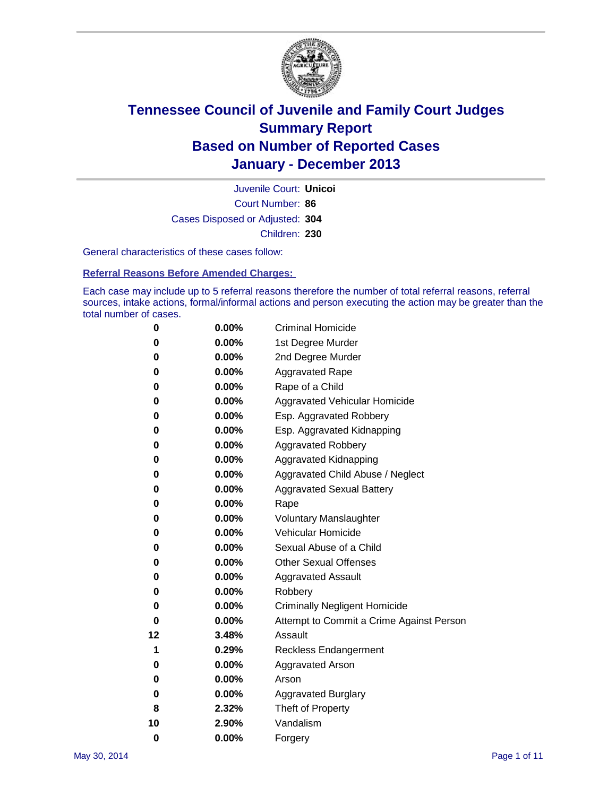

Court Number: **86** Juvenile Court: **Unicoi** Cases Disposed or Adjusted: **304** Children: **230**

General characteristics of these cases follow:

**Referral Reasons Before Amended Charges:** 

Each case may include up to 5 referral reasons therefore the number of total referral reasons, referral sources, intake actions, formal/informal actions and person executing the action may be greater than the total number of cases.

| 0        | $0.00\%$ | <b>Criminal Homicide</b>                 |
|----------|----------|------------------------------------------|
| 0        | 0.00%    | 1st Degree Murder                        |
| 0        | 0.00%    | 2nd Degree Murder                        |
| 0        | $0.00\%$ | <b>Aggravated Rape</b>                   |
| 0        | 0.00%    | Rape of a Child                          |
| 0        | 0.00%    | <b>Aggravated Vehicular Homicide</b>     |
| 0        | $0.00\%$ | Esp. Aggravated Robbery                  |
| 0        | 0.00%    | Esp. Aggravated Kidnapping               |
| 0        | 0.00%    | <b>Aggravated Robbery</b>                |
| 0        | $0.00\%$ | Aggravated Kidnapping                    |
| 0        | 0.00%    | Aggravated Child Abuse / Neglect         |
| 0        | 0.00%    | <b>Aggravated Sexual Battery</b>         |
| 0        | $0.00\%$ | Rape                                     |
| 0        | 0.00%    | <b>Voluntary Manslaughter</b>            |
| 0        | 0.00%    | Vehicular Homicide                       |
| 0        | $0.00\%$ | Sexual Abuse of a Child                  |
| 0        | 0.00%    | <b>Other Sexual Offenses</b>             |
| 0        | 0.00%    | <b>Aggravated Assault</b>                |
| 0        | 0.00%    | Robbery                                  |
| 0        | 0.00%    | <b>Criminally Negligent Homicide</b>     |
| 0        | 0.00%    | Attempt to Commit a Crime Against Person |
| 12       | 3.48%    | Assault                                  |
| 1        | 0.29%    | <b>Reckless Endangerment</b>             |
| 0        | 0.00%    | <b>Aggravated Arson</b>                  |
| 0        | $0.00\%$ | Arson                                    |
| 0        | 0.00%    | <b>Aggravated Burglary</b>               |
| 8        | 2.32%    | Theft of Property                        |
| 10       | 2.90%    | Vandalism                                |
| $\bf{0}$ | 0.00%    | Forgery                                  |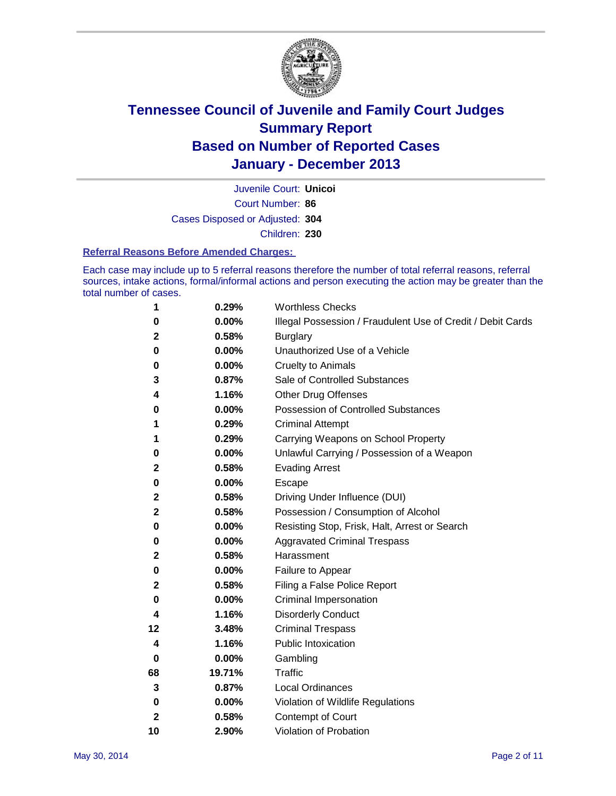

Court Number: **86** Juvenile Court: **Unicoi** Cases Disposed or Adjusted: **304** Children: **230**

#### **Referral Reasons Before Amended Charges:**

Each case may include up to 5 referral reasons therefore the number of total referral reasons, referral sources, intake actions, formal/informal actions and person executing the action may be greater than the total number of cases.

| 1           | 0.29%  | <b>Worthless Checks</b>                                     |
|-------------|--------|-------------------------------------------------------------|
| 0           | 0.00%  | Illegal Possession / Fraudulent Use of Credit / Debit Cards |
| 2           | 0.58%  | <b>Burglary</b>                                             |
| 0           | 0.00%  | Unauthorized Use of a Vehicle                               |
| 0           | 0.00%  | <b>Cruelty to Animals</b>                                   |
| 3           | 0.87%  | Sale of Controlled Substances                               |
| 4           | 1.16%  | <b>Other Drug Offenses</b>                                  |
| 0           | 0.00%  | <b>Possession of Controlled Substances</b>                  |
| 1           | 0.29%  | <b>Criminal Attempt</b>                                     |
| 1           | 0.29%  | Carrying Weapons on School Property                         |
| 0           | 0.00%  | Unlawful Carrying / Possession of a Weapon                  |
| 2           | 0.58%  | <b>Evading Arrest</b>                                       |
| 0           | 0.00%  | Escape                                                      |
| 2           | 0.58%  | Driving Under Influence (DUI)                               |
| $\mathbf 2$ | 0.58%  | Possession / Consumption of Alcohol                         |
| 0           | 0.00%  | Resisting Stop, Frisk, Halt, Arrest or Search               |
| 0           | 0.00%  | <b>Aggravated Criminal Trespass</b>                         |
| 2           | 0.58%  | Harassment                                                  |
| 0           | 0.00%  | Failure to Appear                                           |
| 2           | 0.58%  | Filing a False Police Report                                |
| 0           | 0.00%  | Criminal Impersonation                                      |
| 4           | 1.16%  | <b>Disorderly Conduct</b>                                   |
| 12          | 3.48%  | <b>Criminal Trespass</b>                                    |
| 4           | 1.16%  | <b>Public Intoxication</b>                                  |
| 0           | 0.00%  | Gambling                                                    |
| 68          | 19.71% | <b>Traffic</b>                                              |
| 3           | 0.87%  | Local Ordinances                                            |
| 0           | 0.00%  | Violation of Wildlife Regulations                           |
| 2           | 0.58%  | Contempt of Court                                           |
| 10          | 2.90%  | Violation of Probation                                      |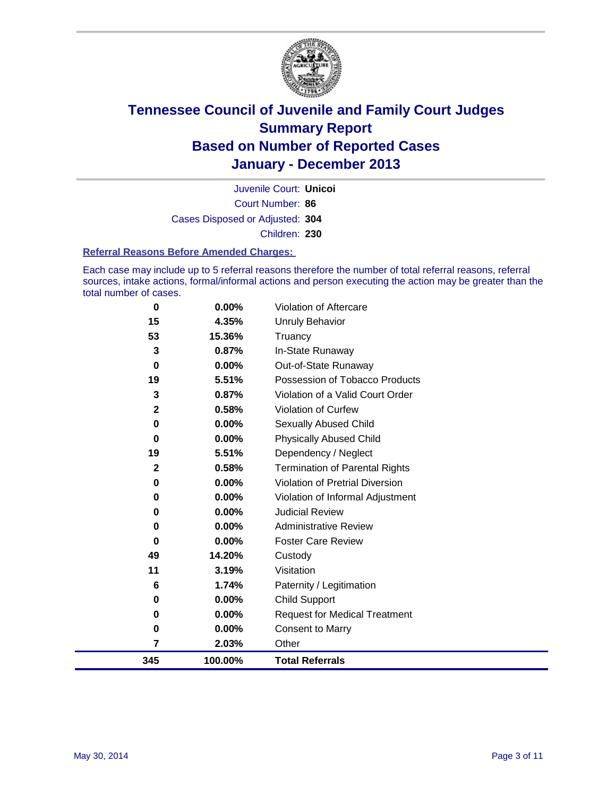

Court Number: **86** Juvenile Court: **Unicoi** Cases Disposed or Adjusted: **304** Children: **230**

#### **Referral Reasons Before Amended Charges:**

Each case may include up to 5 referral reasons therefore the number of total referral reasons, referral sources, intake actions, formal/informal actions and person executing the action may be greater than the total number of cases.

| 345          | 100.00%         | <b>Total Referrals</b>                 |
|--------------|-----------------|----------------------------------------|
| 7            | 2.03%           | Other                                  |
| $\bf{0}$     | 0.00%           | <b>Consent to Marry</b>                |
| 0            | 0.00%           | <b>Request for Medical Treatment</b>   |
| 0            | 0.00%           | Child Support                          |
| 6            | 1.74%           | Paternity / Legitimation               |
| 11           | 3.19%           | Visitation                             |
| 49           | 14.20%          | Custody                                |
| $\bf{0}$     | 0.00%           | <b>Foster Care Review</b>              |
| 0            | 0.00%           | <b>Administrative Review</b>           |
| 0            | 0.00%           | <b>Judicial Review</b>                 |
| 0            | 0.00%           | Violation of Informal Adjustment       |
| 0            | 0.00%           | <b>Violation of Pretrial Diversion</b> |
| $\mathbf{2}$ | 0.58%           | <b>Termination of Parental Rights</b>  |
| 19           | 5.51%           | Dependency / Neglect                   |
| 0            | $0.00\%$        | <b>Physically Abused Child</b>         |
| 0            | $0.00\%$        | Sexually Abused Child                  |
| $\mathbf{2}$ | 0.58%           | <b>Violation of Curfew</b>             |
| 3            | 0.87%           | Violation of a Valid Court Order       |
| 19           | 5.51%           | Possession of Tobacco Products         |
| $\bf{0}$     | 0.00%           | Out-of-State Runaway                   |
| 53<br>3      | 15.36%<br>0.87% | Truancy<br>In-State Runaway            |
| 15           | 4.35%           | <b>Unruly Behavior</b>                 |
| $\bf{0}$     | 0.00%           | Violation of Aftercare                 |
|              |                 |                                        |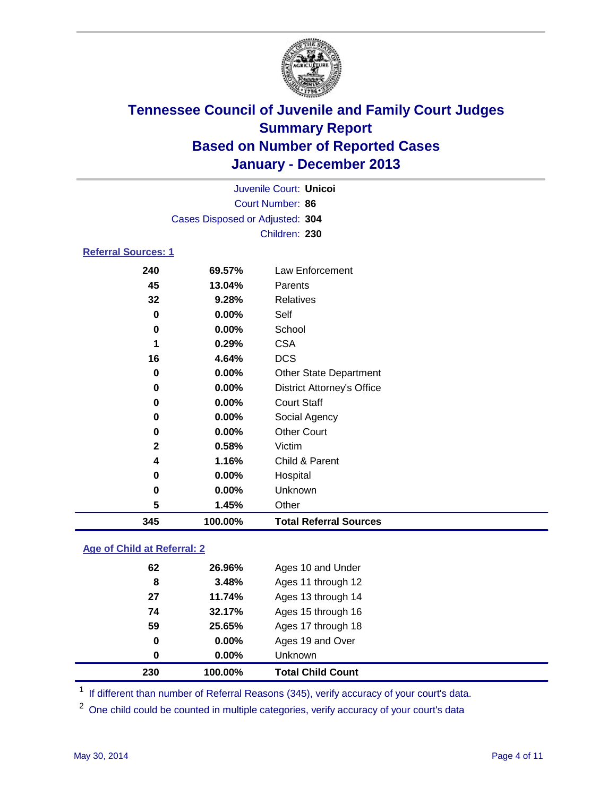

| 0<br>5                     | 0.00%<br>1.45%                  | Unknown<br>Other                  |  |  |  |
|----------------------------|---------------------------------|-----------------------------------|--|--|--|
| 0                          | 0.00%                           | Hospital                          |  |  |  |
| 4                          | 1.16%                           | Child & Parent                    |  |  |  |
| $\mathbf 2$                | 0.58%                           | Victim                            |  |  |  |
| 0                          | $0.00\%$                        | <b>Other Court</b>                |  |  |  |
| 0                          | 0.00%                           | Social Agency                     |  |  |  |
| 0                          | $0.00\%$                        | <b>Court Staff</b>                |  |  |  |
| 0                          | 0.00%                           | <b>District Attorney's Office</b> |  |  |  |
| 0                          | 0.00%                           | <b>Other State Department</b>     |  |  |  |
| 16                         | 4.64%                           | <b>DCS</b>                        |  |  |  |
| 1                          | 0.29%                           | <b>CSA</b>                        |  |  |  |
| 0                          | 0.00%                           | School                            |  |  |  |
| 0                          | $0.00\%$                        | Self                              |  |  |  |
| 32                         | 9.28%                           | <b>Relatives</b>                  |  |  |  |
| 45                         | 13.04%                          | Parents                           |  |  |  |
| 240                        | 69.57%                          | Law Enforcement                   |  |  |  |
| <b>Referral Sources: 1</b> |                                 |                                   |  |  |  |
|                            |                                 | Children: 230                     |  |  |  |
|                            | Cases Disposed or Adjusted: 304 |                                   |  |  |  |
| Court Number: 86           |                                 |                                   |  |  |  |
|                            |                                 | Juvenile Court: Unicoi            |  |  |  |

### **Age of Child at Referral: 2**

| 230 | 100.00%  | <b>Total Child Count</b> |
|-----|----------|--------------------------|
| 0   | $0.00\%$ | <b>Unknown</b>           |
| 0   | 0.00%    | Ages 19 and Over         |
| 59  | 25.65%   | Ages 17 through 18       |
| 74  | 32.17%   | Ages 15 through 16       |
| 27  | 11.74%   | Ages 13 through 14       |
| 8   | 3.48%    | Ages 11 through 12       |
| 62  | 26.96%   | Ages 10 and Under        |
|     |          |                          |

<sup>1</sup> If different than number of Referral Reasons (345), verify accuracy of your court's data.

<sup>2</sup> One child could be counted in multiple categories, verify accuracy of your court's data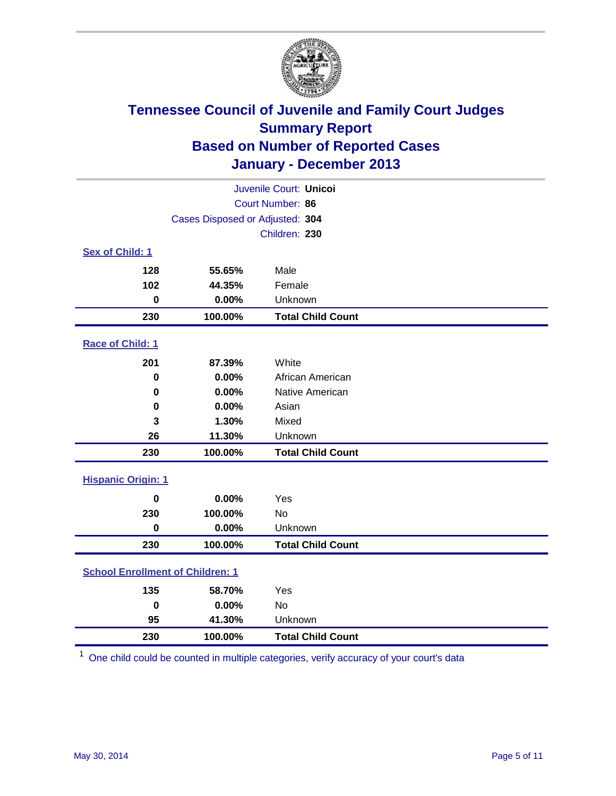

| Juvenile Court: Unicoi                  |                                 |                          |  |  |
|-----------------------------------------|---------------------------------|--------------------------|--|--|
| Court Number: 86                        |                                 |                          |  |  |
|                                         | Cases Disposed or Adjusted: 304 |                          |  |  |
|                                         |                                 | Children: 230            |  |  |
| Sex of Child: 1                         |                                 |                          |  |  |
| 128                                     | 55.65%                          | Male                     |  |  |
| 102                                     | 44.35%                          | Female                   |  |  |
| $\bf{0}$                                | 0.00%                           | Unknown                  |  |  |
| 230                                     | 100.00%                         | <b>Total Child Count</b> |  |  |
| Race of Child: 1                        |                                 |                          |  |  |
| 201                                     | 87.39%                          | White                    |  |  |
| 0                                       | 0.00%                           | African American         |  |  |
| $\mathbf 0$                             | 0.00%                           | Native American          |  |  |
| 0                                       | 0.00%                           | Asian                    |  |  |
| 3                                       | 1.30%                           | Mixed                    |  |  |
| 26                                      | 11.30%                          | Unknown                  |  |  |
| 230                                     | 100.00%                         | <b>Total Child Count</b> |  |  |
| <b>Hispanic Origin: 1</b>               |                                 |                          |  |  |
| $\mathbf 0$                             | 0.00%                           | Yes                      |  |  |
| 230                                     | 100.00%                         | <b>No</b>                |  |  |
| $\mathbf 0$                             | 0.00%                           | Unknown                  |  |  |
| 230                                     | 100.00%                         | <b>Total Child Count</b> |  |  |
| <b>School Enrollment of Children: 1</b> |                                 |                          |  |  |
| 135                                     | 58.70%                          | Yes                      |  |  |
| $\bf{0}$                                | 0.00%                           | <b>No</b>                |  |  |
| 95                                      | 41.30%                          | Unknown                  |  |  |
| 230                                     | 100.00%                         | <b>Total Child Count</b> |  |  |

One child could be counted in multiple categories, verify accuracy of your court's data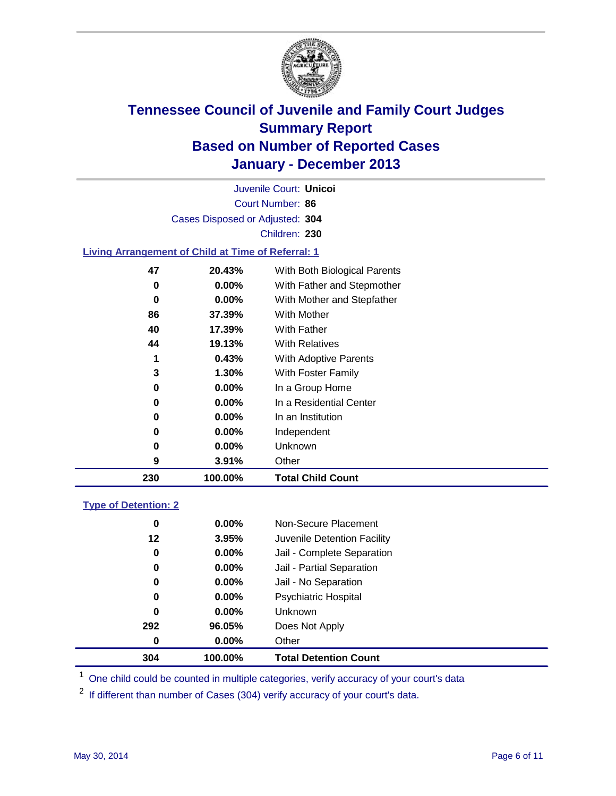

Court Number: **86** Juvenile Court: **Unicoi** Cases Disposed or Adjusted: **304** Children: **230**

#### **Living Arrangement of Child at Time of Referral: 1**

| 230 | 100.00%  | <b>Total Child Count</b>     |  |
|-----|----------|------------------------------|--|
| 9   | 3.91%    | Other                        |  |
| 0   | $0.00\%$ | Unknown                      |  |
| 0   | $0.00\%$ | Independent                  |  |
| 0   | 0.00%    | In an Institution            |  |
| 0   | $0.00\%$ | In a Residential Center      |  |
| 0   | $0.00\%$ | In a Group Home              |  |
| 3   | 1.30%    | With Foster Family           |  |
| 1   | 0.43%    | <b>With Adoptive Parents</b> |  |
| 44  | 19.13%   | <b>With Relatives</b>        |  |
| 40  | 17.39%   | With Father                  |  |
| 86  | 37.39%   | With Mother                  |  |
| 0   | 0.00%    | With Mother and Stepfather   |  |
| 0   | $0.00\%$ | With Father and Stepmother   |  |
| 47  | 20.43%   | With Both Biological Parents |  |
|     |          |                              |  |

#### **Type of Detention: 2**

| 304 | 100.00%  | <b>Total Detention Count</b> |  |
|-----|----------|------------------------------|--|
| 0   | $0.00\%$ | Other                        |  |
| 292 | 96.05%   | Does Not Apply               |  |
| 0   | $0.00\%$ | <b>Unknown</b>               |  |
| 0   | $0.00\%$ | <b>Psychiatric Hospital</b>  |  |
| 0   | 0.00%    | Jail - No Separation         |  |
| 0   | $0.00\%$ | Jail - Partial Separation    |  |
| 0   | 0.00%    | Jail - Complete Separation   |  |
| 12  | 3.95%    | Juvenile Detention Facility  |  |
| 0   | 0.00%    | Non-Secure Placement         |  |
|     |          |                              |  |

<sup>1</sup> One child could be counted in multiple categories, verify accuracy of your court's data

<sup>2</sup> If different than number of Cases (304) verify accuracy of your court's data.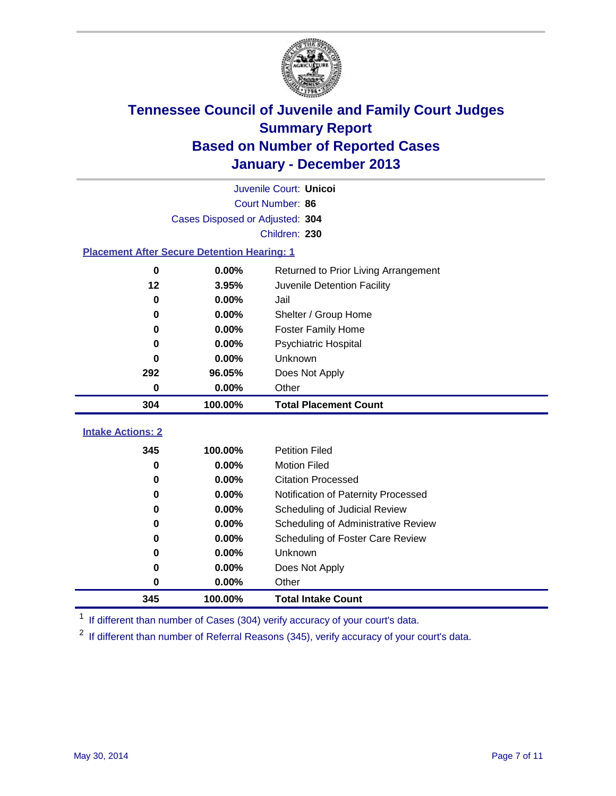

|                                                    | Juvenile Court: Unicoi          |                                      |  |  |  |  |  |
|----------------------------------------------------|---------------------------------|--------------------------------------|--|--|--|--|--|
|                                                    | Court Number: 86                |                                      |  |  |  |  |  |
|                                                    | Cases Disposed or Adjusted: 304 |                                      |  |  |  |  |  |
|                                                    | Children: 230                   |                                      |  |  |  |  |  |
| <b>Placement After Secure Detention Hearing: 1</b> |                                 |                                      |  |  |  |  |  |
| $\bf{0}$                                           | 0.00%                           | Returned to Prior Living Arrangement |  |  |  |  |  |
| 12                                                 | 3.95%                           | Juvenile Detention Facility          |  |  |  |  |  |
| $\bf{0}$                                           | 0.00%                           | Jail                                 |  |  |  |  |  |
| 0                                                  | 0.00%                           | Shelter / Group Home                 |  |  |  |  |  |
| 0                                                  | 0.00%                           | <b>Foster Family Home</b>            |  |  |  |  |  |
| 0                                                  | 0.00%                           | <b>Psychiatric Hospital</b>          |  |  |  |  |  |
| 0                                                  | 0.00%                           | Unknown                              |  |  |  |  |  |
| 292                                                | 96.05%                          | Does Not Apply                       |  |  |  |  |  |
| 0                                                  | 0.00%                           | Other                                |  |  |  |  |  |
| 304                                                | 100.00%                         | <b>Total Placement Count</b>         |  |  |  |  |  |
|                                                    |                                 |                                      |  |  |  |  |  |
| <b>Intake Actions: 2</b>                           |                                 |                                      |  |  |  |  |  |
| 345                                                | 100.00%                         | <b>Petition Filed</b>                |  |  |  |  |  |
| 0                                                  | 0.00%                           | <b>Motion Filed</b>                  |  |  |  |  |  |
| 0                                                  | 0.00%                           | <b>Citation Processed</b>            |  |  |  |  |  |
| 0                                                  | 0.00%                           | Notification of Paternity Processed  |  |  |  |  |  |
| 0                                                  | 0.00%                           | Scheduling of Judicial Review        |  |  |  |  |  |
| 0                                                  | 0.00%                           | Scheduling of Administrative Review  |  |  |  |  |  |
| 0                                                  | 0.00%                           | Scheduling of Foster Care Review     |  |  |  |  |  |
| 0                                                  | 0.00%                           | Unknown                              |  |  |  |  |  |
| 0                                                  | 0.00%                           | Does Not Apply                       |  |  |  |  |  |
| 0                                                  | 0.00%                           | Other                                |  |  |  |  |  |
| 345                                                | 100.00%                         | <b>Total Intake Count</b>            |  |  |  |  |  |

<sup>1</sup> If different than number of Cases (304) verify accuracy of your court's data.

If different than number of Referral Reasons (345), verify accuracy of your court's data.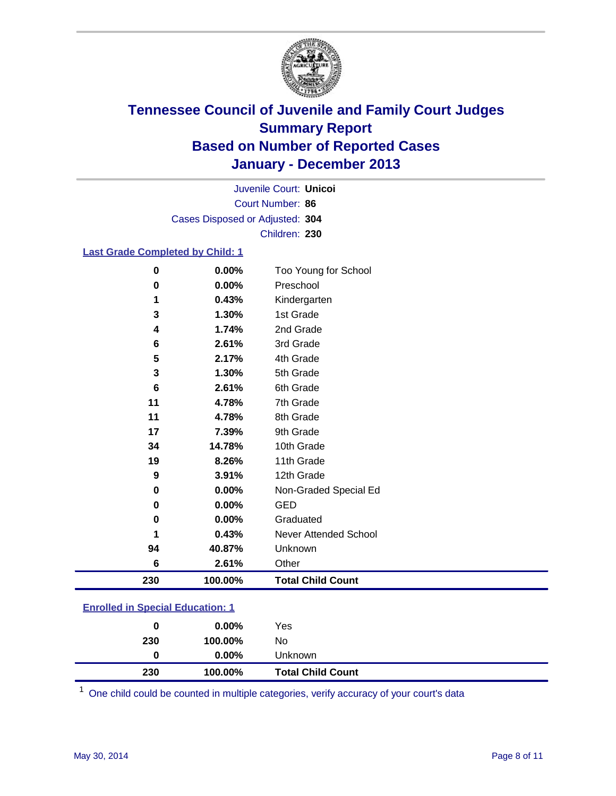

Court Number: **86** Juvenile Court: **Unicoi** Cases Disposed or Adjusted: **304** Children: **230**

#### **Last Grade Completed by Child: 1**

| 0        | 0.00%   | Too Young for School         |
|----------|---------|------------------------------|
| 0        | 0.00%   | Preschool                    |
| 1        | 0.43%   | Kindergarten                 |
| 3        | 1.30%   | 1st Grade                    |
| 4        | 1.74%   | 2nd Grade                    |
| 6        | 2.61%   | 3rd Grade                    |
| 5        | 2.17%   | 4th Grade                    |
| 3        | 1.30%   | 5th Grade                    |
| 6        | 2.61%   | 6th Grade                    |
| 11       | 4.78%   | 7th Grade                    |
| 11       | 4.78%   | 8th Grade                    |
| 17       | 7.39%   | 9th Grade                    |
| 34       | 14.78%  | 10th Grade                   |
| 19       | 8.26%   | 11th Grade                   |
| 9        | 3.91%   | 12th Grade                   |
| $\bf{0}$ | 0.00%   | Non-Graded Special Ed        |
| 0        | 0.00%   | <b>GED</b>                   |
| 0        | 0.00%   | Graduated                    |
| 1        | 0.43%   | <b>Never Attended School</b> |
| 94       | 40.87%  | Unknown                      |
| 6        | 2.61%   | Other                        |
| 230      | 100.00% | <b>Total Child Count</b>     |

### **Enrolled in Special Education: 1**

One child could be counted in multiple categories, verify accuracy of your court's data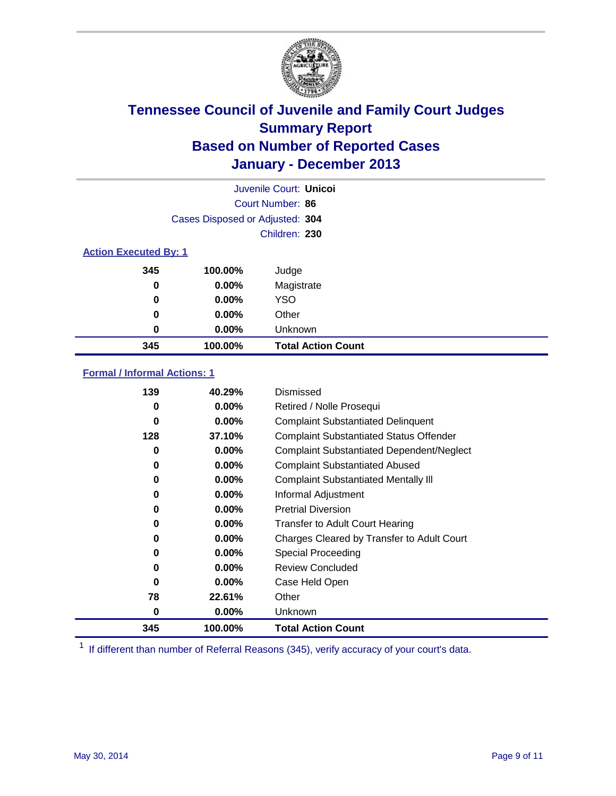

| Juvenile Court: Unicol       |                                 |                           |  |  |  |
|------------------------------|---------------------------------|---------------------------|--|--|--|
|                              | Court Number: 86                |                           |  |  |  |
|                              | Cases Disposed or Adjusted: 304 |                           |  |  |  |
|                              |                                 | Children: 230             |  |  |  |
| <b>Action Executed By: 1</b> |                                 |                           |  |  |  |
| 345                          | 100.00%                         | Judge                     |  |  |  |
| 0                            | $0.00\%$                        | Magistrate                |  |  |  |
| 0                            | $0.00\%$                        | <b>YSO</b>                |  |  |  |
| 0                            | $0.00\%$                        | Other                     |  |  |  |
| 0                            | $0.00\%$                        | Unknown                   |  |  |  |
| 345                          | 100.00%                         | <b>Total Action Count</b> |  |  |  |

### **Formal / Informal Actions: 1**

| 139      | 40.29%   | Dismissed                                        |
|----------|----------|--------------------------------------------------|
| 0        | $0.00\%$ | Retired / Nolle Prosequi                         |
| 0        | 0.00%    | <b>Complaint Substantiated Delinquent</b>        |
| 128      | 37.10%   | <b>Complaint Substantiated Status Offender</b>   |
| 0        | 0.00%    | <b>Complaint Substantiated Dependent/Neglect</b> |
| 0        | $0.00\%$ | <b>Complaint Substantiated Abused</b>            |
| 0        | $0.00\%$ | <b>Complaint Substantiated Mentally III</b>      |
| 0        | $0.00\%$ | Informal Adjustment                              |
| 0        | $0.00\%$ | <b>Pretrial Diversion</b>                        |
| 0        | 0.00%    | <b>Transfer to Adult Court Hearing</b>           |
| 0        | $0.00\%$ | Charges Cleared by Transfer to Adult Court       |
| 0        | $0.00\%$ | Special Proceeding                               |
| 0        | $0.00\%$ | <b>Review Concluded</b>                          |
| $\bf{0}$ | $0.00\%$ | Case Held Open                                   |
| 78       | 22.61%   | Other                                            |
| 0        | $0.00\%$ | Unknown                                          |
| 345      | 100.00%  | <b>Total Action Count</b>                        |

<sup>1</sup> If different than number of Referral Reasons (345), verify accuracy of your court's data.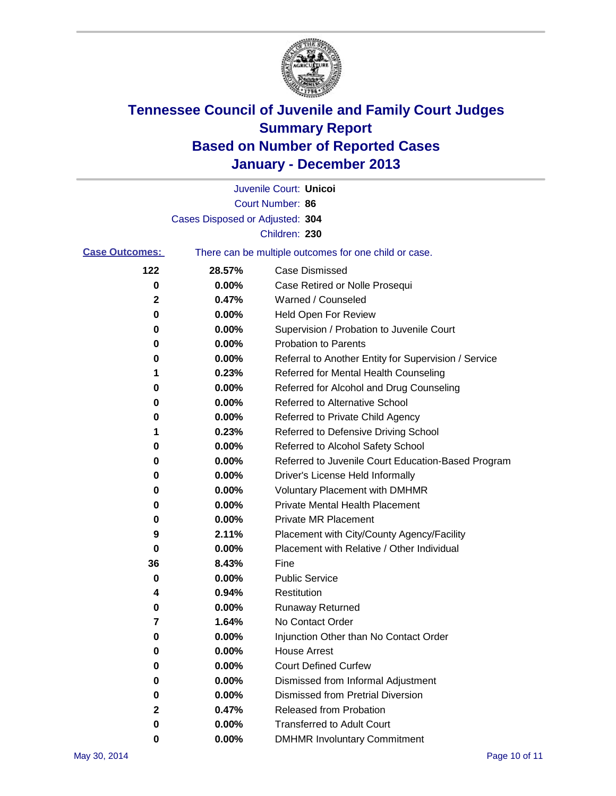

|                       |                                 | Juvenile Court: Unicoi                                |
|-----------------------|---------------------------------|-------------------------------------------------------|
|                       |                                 | Court Number: 86                                      |
|                       | Cases Disposed or Adjusted: 304 |                                                       |
|                       |                                 | Children: 230                                         |
| <b>Case Outcomes:</b> |                                 | There can be multiple outcomes for one child or case. |
| 122                   | 28.57%                          | Case Dismissed                                        |
| 0                     | 0.00%                           | Case Retired or Nolle Prosequi                        |
| 2                     | 0.47%                           | Warned / Counseled                                    |
| 0                     | 0.00%                           | Held Open For Review                                  |
| 0                     | 0.00%                           | Supervision / Probation to Juvenile Court             |
| 0                     | 0.00%                           | <b>Probation to Parents</b>                           |
| 0                     | 0.00%                           | Referral to Another Entity for Supervision / Service  |
| 1                     | 0.23%                           | Referred for Mental Health Counseling                 |
| 0                     | 0.00%                           | Referred for Alcohol and Drug Counseling              |
| 0                     | 0.00%                           | Referred to Alternative School                        |
| 0                     | 0.00%                           | Referred to Private Child Agency                      |
| 1                     | 0.23%                           | Referred to Defensive Driving School                  |
| 0                     | 0.00%                           | Referred to Alcohol Safety School                     |
| 0                     | 0.00%                           | Referred to Juvenile Court Education-Based Program    |
| 0                     | 0.00%                           | Driver's License Held Informally                      |
| 0                     | 0.00%                           | <b>Voluntary Placement with DMHMR</b>                 |
| 0                     | 0.00%                           | <b>Private Mental Health Placement</b>                |
| 0                     | 0.00%                           | <b>Private MR Placement</b>                           |
| 9                     | 2.11%                           | Placement with City/County Agency/Facility            |
| 0                     | 0.00%                           | Placement with Relative / Other Individual            |
| 36                    | 8.43%                           | Fine                                                  |
| 0                     | 0.00%                           | <b>Public Service</b>                                 |
| 4                     | 0.94%                           | Restitution                                           |
| 0                     | 0.00%                           | <b>Runaway Returned</b>                               |
| 7                     | 1.64%                           | No Contact Order                                      |
| 0                     | 0.00%                           | Injunction Other than No Contact Order                |
| 0                     | 0.00%                           | <b>House Arrest</b>                                   |
| 0                     | 0.00%                           | <b>Court Defined Curfew</b>                           |
| 0                     | 0.00%                           | Dismissed from Informal Adjustment                    |
| 0                     | 0.00%                           | <b>Dismissed from Pretrial Diversion</b>              |
| 2                     | 0.47%                           | <b>Released from Probation</b>                        |
| 0                     | 0.00%                           | <b>Transferred to Adult Court</b>                     |
| 0                     | 0.00%                           | <b>DMHMR Involuntary Commitment</b>                   |